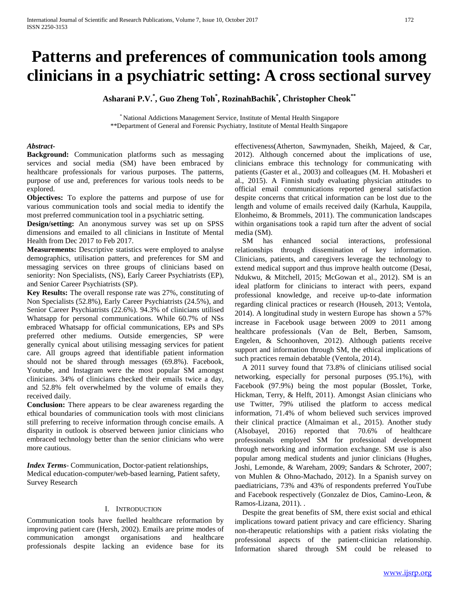# **Patterns and preferences of communication tools among clinicians in a psychiatric setting: A cross sectional survey**

**Asharani P.V.\* , Guo Zheng Toh\* , RozinahBachik\* , Christopher Cheok\*\***

\* National Addictions Management Service, Institute of Mental Health Singapore \*\*Department of General and Forensic Psychiatry, Institute of Mental Health Singapore

## *Abstract***-**

**Background:** Communication platforms such as messaging services and social media (SM) have been embraced by healthcare professionals for various purposes. The patterns, purpose of use and, preferences for various tools needs to be explored.

**Objectives:** To explore the patterns and purpose of use for various communication tools and social media to identify the most preferred communication tool in a psychiatric setting.

**Design/setting:** An anonymous survey was set up on SPSS dimensions and emailed to all clinicians in Institute of Mental Health from Dec 2017 to Feb 2017.

**Measurements:** Descriptive statistics were employed to analyse demographics, utilisation patters, and preferences for SM and messaging services on three groups of clinicians based on seniority: Non Specialists, (NS), Early Career Psychiatrists (EP), and Senior Career Psychiatrists (SP).

**Key Results:** The overall response rate was 27%, constituting of Non Specialists (52.8%), Early Career Psychiatrists (24.5%), and Senior Career Psychiatrists (22.6%). 94.3% of clinicians utilised Whatsapp for personal communications. While 60.7% of NSs embraced Whatsapp for official communications, EPs and SPs preferred other mediums. Outside emergencies, SP were generally cynical about utilising messaging services for patient care. All groups agreed that identifiable patient information should not be shared through messages (69.8%). Facebook, Youtube, and Instagram were the most popular SM amongst clinicians. 34% of clinicians checked their emails twice a day, and 52.8% felt overwhelmed by the volume of emails they received daily.

**Conclusion:** There appears to be clear awareness regarding the ethical boundaries of communication tools with most clinicians still preferring to receive information through concise emails. A disparity in outlook is observed between junior clinicians who embraced technology better than the senior clinicians who were more cautious.

*Index Terms*- Communication, Doctor-patient relationships, Medical education-computer/web-based learning, Patient safety, Survey Research

### I. INTRODUCTION

Communication tools have fuelled healthcare reformation by improving patient care (Hersh, 2002). Emails are prime modes of communication amongst organisations and healthcare professionals despite lacking an evidence base for its effectiveness(Atherton, Sawmynaden, Sheikh, Majeed, & Car, 2012). Although concerned about the implications of use, clinicians embrace this technology for communicating with patients (Gaster et al., 2003) and colleagues (M. H. Mobasheri et al., 2015). A Finnish study evaluating physician attitudes to official email communications reported general satisfaction despite concerns that critical information can be lost due to the length and volume of emails received daily (Karhula, Kauppila, Elonheimo, & Brommels, 2011). The communication landscapes within organisations took a rapid turn after the advent of social media (SM).

SM has enhanced social interactions, professional relationships through dissemination of key information. Clinicians, patients, and caregivers leverage the technology to extend medical support and thus improve health outcome (Desai, Ndukwu, & Mitchell, 2015; McGowan et al., 2012). SM is an ideal platform for clinicians to interact with peers, expand professional knowledge, and receive up-to-date information regarding clinical practices or research (Househ, 2013; Ventola, 2014). A longitudinal study in western Europe has shown a 57% increase in Facebook usage between 2009 to 2011 among healthcare professionals (Van de Belt, Berben, Samsom, Engelen, & Schoonhoven, 2012). Although patients receive support and information through SM, the ethical implications of such practices remain debatable (Ventola, 2014).

A 2011 survey found that 73.8% of clinicians utilised social networking, especially for personal purposes (95.1%), with Facebook (97.9%) being the most popular (Bosslet, Torke, Hickman, Terry, & Helft, 2011). Amongst Asian clinicians who use Twitter, 79% utilised the platform to access medical information, 71.4% of whom believed such services improved their clinical practice (Almaiman et al., 2015). Another study (Alsobayel, 2016) reported that 70.6% of healthcare professionals employed SM for professional development through networking and information exchange. SM use is also popular among medical students and junior clinicians (Hughes, Joshi, Lemonde, & Wareham, 2009; Sandars & Schroter, 2007; von Muhlen & Ohno-Machado, 2012). In a Spanish survey on paediatricians, 73% and 43% of respondents preferred YouTube and Facebook respectively (Gonzalez de Dios, Camino-Leon, & Ramos-Lizana, 2011). .

Despite the great benefits of SM, there exist social and ethical implications toward patient privacy and care efficiency. Sharing non-therapeutic relationships with a patient risks violating the professional aspects of the patient-clinician relationship. Information shared through SM could be released to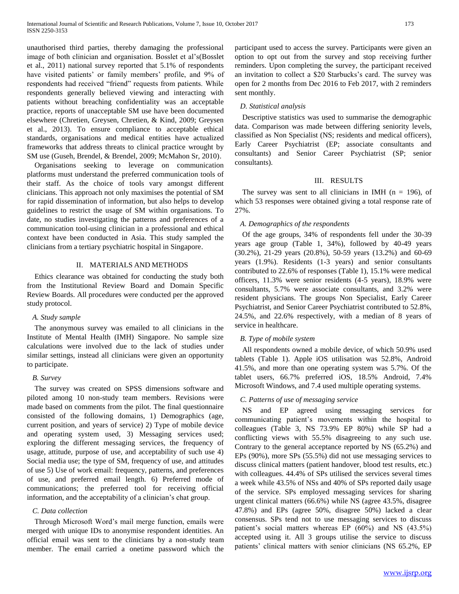unauthorised third parties, thereby damaging the professional image of both clinician and organisation. Bosslet et al's(Bosslet et al., 2011) national survey reported that 5.1% of respondents have visited patients' or family members' profile, and 9% of respondents had received "friend" requests from patients. While respondents generally believed viewing and interacting with patients without breaching confidentiality was an acceptable practice, reports of unacceptable SM use have been documented elsewhere (Chretien, Greysen, Chretien, & Kind, 2009; Greysen et al., 2013). To ensure compliance to acceptable ethical standards, organisations and medical entities have actualized frameworks that address threats to clinical practice wrought by SM use (Guseh, Brendel, & Brendel, 2009; McMahon Sr, 2010).

Organisations seeking to leverage on communication platforms must understand the preferred communication tools of their staff. As the choice of tools vary amongst different clinicians. This approach not only maximises the potential of SM for rapid dissemination of information, but also helps to develop guidelines to restrict the usage of SM within organisations. To date, no studies investigating the patterns and preferences of a communication tool-using clinician in a professional and ethical context have been conducted in Asia. This study sampled the clinicians from a tertiary psychiatric hospital in Singapore.

# II. MATERIALS AND METHODS

Ethics clearance was obtained for conducting the study both from the Institutional Review Board and Domain Specific Review Boards. All procedures were conducted per the approved study protocol.

# *A. Study sample*

The anonymous survey was emailed to all clinicians in the Institute of Mental Health (IMH) Singapore. No sample size calculations were involved due to the lack of studies under similar settings, instead all clinicians were given an opportunity to participate.

# *B. Survey*

The survey was created on SPSS dimensions software and piloted among 10 non-study team members. Revisions were made based on comments from the pilot. The final questionnaire consisted of the following domains, 1) Demographics (age, current position, and years of service) 2) Type of mobile device and operating system used, 3) Messaging services used; exploring the different messaging services, the frequency of usage, attitude, purpose of use, and acceptability of such use 4) Social media use; the type of SM, frequency of use, and attitudes of use 5) Use of work email: frequency, patterns, and preferences of use, and preferred email length. 6) Preferred mode of communications; the preferred tool for receiving official information, and the acceptability of a clinician's chat group.

# *C. Data collection*

Through Microsoft Word's mail merge function, emails were merged with unique IDs to anonymise respondent identities. An official email was sent to the clinicians by a non-study team member. The email carried a onetime password which the

participant used to access the survey. Participants were given an option to opt out from the survey and stop receiving further reminders. Upon completing the survey, the participant received an invitation to collect a \$20 Starbucks's card. The survey was open for 2 months from Dec 2016 to Feb 2017, with 2 reminders sent monthly.

# *D. Statistical analysis*

Descriptive statistics was used to summarise the demographic data. Comparison was made between differing seniority levels, classified as Non Specialist (NS; residents and medical officers), Early Career Psychiatrist (EP; associate consultants and consultants) and Senior Career Psychiatrist (SP; senior consultants).

# III. RESULTS

The survey was sent to all clinicians in IMH ( $n = 196$ ), of which 53 responses were obtained giving a total response rate of 27%.

# *A. Demographics of the respondents*

Of the age groups, 34% of respondents fell under the 30-39 years age group (Table 1, 34%), followed by 40-49 years (30.2%), 21-29 years (20.8%), 50-59 years (13.2%) and 60-69 years (1.9%). Residents (1-3 years) and senior consultants contributed to 22.6% of responses (Table 1), 15.1% were medical officers, 11.3% were senior residents (4-5 years), 18.9% were consultants, 5.7% were associate consultants, and 3.2% were resident physicians. The groups Non Specialist, Early Career Psychiatrist, and Senior Career Psychiatrist contributed to 52.8%, 24.5%, and 22.6% respectively, with a median of 8 years of service in healthcare.

# *B. Type of mobile system*

All respondents owned a mobile device, of which 50.9% used tablets (Table 1). Apple iOS utilisation was 52.8%, Android 41.5%, and more than one operating system was 5.7%. Of the tablet users, 66.7% preferred iOS, 18.5% Android, 7.4% Microsoft Windows, and 7.4 used multiple operating systems.

# *C. Patterns of use of messaging service*

NS and EP agreed using messaging services for communicating patient's movements within the hospital to colleagues (Table 3, NS 73.9% EP 80%) while SP had a conflicting views with 55.5% disagreeing to any such use. Contrary to the general acceptance reported by NS (65.2%) and EPs (90%), more SPs (55.5%) did not use messaging services to discuss clinical matters (patient handover, blood test results, etc.) with colleagues. 44.4% of SPs utilised the services several times a week while 43.5% of NSs and 40% of SPs reported daily usage of the service. SPs employed messaging services for sharing urgent clinical matters (66.6%) while NS (agree 43.5%, disagree 47.8%) and EPs (agree 50%, disagree 50%) lacked a clear consensus. SPs tend not to use messaging services to discuss patient's social matters whereas EP (60%) and NS (43.5%) accepted using it. All 3 groups utilise the service to discuss patients' clinical matters with senior clinicians (NS 65.2%, EP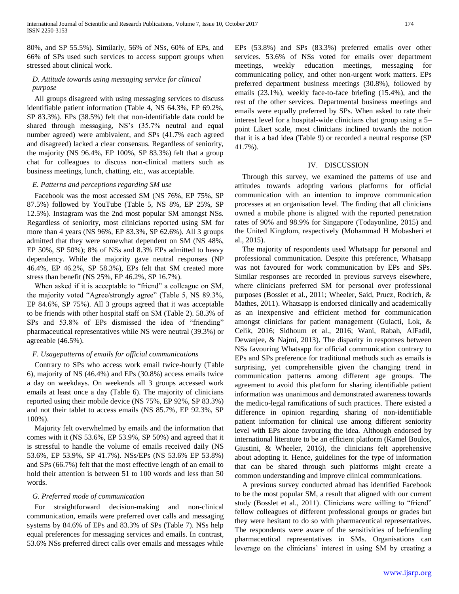80%, and SP 55.5%). Similarly, 56% of NSs, 60% of EPs, and 66% of SPs used such services to access support groups when stressed about clinical work.

# *D. Attitude towards using messaging service for clinical purpose*

All groups disagreed with using messaging services to discuss identifiable patient information (Table 4, NS 64.3%, EP 69.2%, SP 83.3%). EPs (38.5%) felt that non-identifiable data could be shared through messaging, NS's (35.7% neutral and equal number agreed) were ambivalent, and SPs (41.7% each agreed and disagreed) lacked a clear consensus. Regardless of seniority, the majority (NS 96.4%, EP 100%, SP 83.3%) felt that a group chat for colleagues to discuss non-clinical matters such as business meetings, lunch, chatting, etc., was acceptable.

## *E. Patterns and perceptions regarding SM use*

Facebook was the most accessed SM (NS 76%, EP 75%, SP 87.5%) followed by YouTube (Table 5, NS 8%, EP 25%, SP 12.5%). Instagram was the 2nd most popular SM amongst NSs. Regardless of seniority, most clinicians reported using SM for more than 4 years (NS 96%, EP 83.3%, SP 62.6%). All 3 groups admitted that they were somewhat dependent on SM (NS 48%, EP 50%, SP 50%); 8% of NSs and 8.3% EPs admitted to heavy dependency. While the majority gave neutral responses (NP 46.4%, EP 46.2%, SP 58.3%), EPs felt that SM created more stress than benefit (NS 25%, EP 46.2%, SP 16.7%).

When asked if it is acceptable to "friend" a colleague on SM, the majority voted "Agree/strongly agree" (Table 5, NS 89.3%, EP 84.6%, SP 75%). All 3 groups agreed that it was acceptable to be friends with other hospital staff on SM (Table 2). 58.3% of SPs and 53.8% of EPs dismissed the idea of "friending" pharmaceutical representatives while NS were neutral (39.3%) or agreeable (46.5%).

# *F. Usagepatterns of emails for official communications*

Contrary to SPs who access work email twice-hourly (Table 6), majority of NS (46.4%) and EPs (30.8%) access emails twice a day on weekdays. On weekends all 3 groups accessed work emails at least once a day (Table 6). The majority of clinicians reported using their mobile device (NS 75%, EP 92%, SP 83.3%) and not their tablet to access emails (NS 85.7%, EP 92.3%, SP 100%).

Majority felt overwhelmed by emails and the information that comes with it (NS 53.6%, EP 53.9%, SP 50%) and agreed that it is stressful to handle the volume of emails received daily (NS 53.6%, EP 53.9%, SP 41.7%). NSs/EPs (NS 53.6% EP 53.8%) and SPs (66.7%) felt that the most effective length of an email to hold their attention is between 51 to 100 words and less than 50 words.

# *G. Preferred mode of communication*

For straightforward decision-making and non-clinical communication, emails were preferred over calls and messaging systems by 84.6% of EPs and 83.3% of SPs (Table 7). NSs help equal preferences for messaging services and emails. In contrast, 53.6% NSs preferred direct calls over emails and messages while

EPs (53.8%) and SPs (83.3%) preferred emails over other services. 53.6% of NSs voted for emails over department meetings, weekly education meetings, messaging for communicating policy, and other non-urgent work matters. EPs preferred department business meetings (30.8%), followed by emails (23.1%), weekly face-to-face briefing (15.4%), and the rest of the other services. Departmental business meetings and emails were equally preferred by SPs. When asked to rate their interest level for a hospital-wide clinicians chat group using a 5– point Likert scale, most clinicians inclined towards the notion that it is a bad idea (Table 9) or recorded a neutral response (SP 41.7%).

## IV. DISCUSSION

Through this survey, we examined the patterns of use and attitudes towards adopting various platforms for official communication with an intention to improve communication processes at an organisation level. The finding that all clinicians owned a mobile phone is aligned with the reported penetration rates of 90% and 98.9% for Singapore (Todayonline, 2015) and the United Kingdom, respectively (Mohammad H Mobasheri et al., 2015).

The majority of respondents used Whatsapp for personal and professional communication. Despite this preference, Whatsapp was not favoured for work communication by EPs and SPs. Similar responses are recorded in previous surveys elsewhere, where clinicians preferred SM for personal over professional purposes (Bosslet et al., 2011; Wheeler, Said, Prucz, Rodrich, & Mathes, 2011). Whatsapp is endorsed clinically and academically as an inexpensive and efficient method for communication amongst clinicians for patient management (Gulacti, Lok, & Celik, 2016; Sidhoum et al., 2016; Wani, Rabah, AlFadil, Dewanjee, & Najmi, 2013). The disparity in responses between NSs favouring Whatsapp for official communication contrary to EPs and SPs preference for traditional methods such as emails is surprising, yet comprehensible given the changing trend in communication patterns among different age groups. The agreement to avoid this platform for sharing identifiable patient information was unanimous and demonstrated awareness towards the medico-legal ramifications of such practices. There existed a difference in opinion regarding sharing of non-identifiable patient information for clinical use among different seniority level with EPs alone favouring the idea. Although endorsed by international literature to be an efficient platform (Kamel Boulos, Giustini, & Wheeler, 2016), the clinicians felt apprehensive about adopting it. Hence, guidelines for the type of information that can be shared through such platforms might create a common understanding and improve clinical communications.

A previous survey conducted abroad has identified Facebook to be the most popular SM, a result that aligned with our current study (Bosslet et al., 2011). Clinicians were willing to "friend" fellow colleagues of different professional groups or grades but they were hesitant to do so with pharmaceutical representatives. The respondents were aware of the sensitivities of befriending pharmaceutical representatives in SMs. Organisations can leverage on the clinicians' interest in using SM by creating a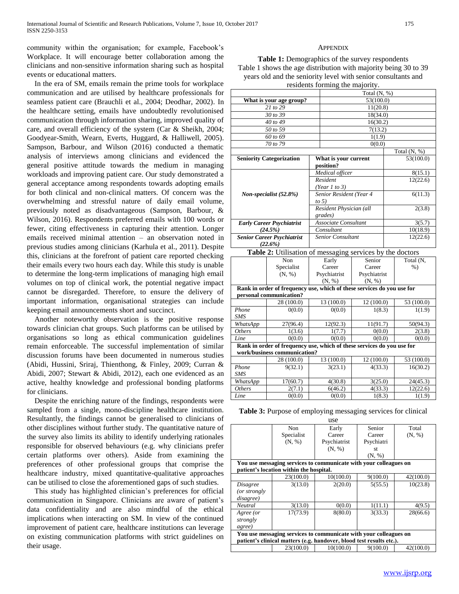community within the organisation; for example, Facebook's Workplace. It will encourage better collaboration among the clinicians and non-sensitive information sharing such as hospital events or educational matters.

In the era of SM, emails remain the prime tools for workplace communication and are utilised by healthcare professionals for seamless patient care (Brauchli et al., 2004; Deodhar, 2002). In the healthcare setting, emails have undoubtedly revolutionised communication through information sharing, improved quality of care, and overall efficiency of the system (Car & Sheikh, 2004; Goodyear-Smith, Wearn, Everts, Huggard, & Halliwell, 2005). Sampson, Barbour, and Wilson (2016) conducted a thematic analysis of interviews among clinicians and evidenced the general positive attitude towards the medium in managing workloads and improving patient care. Our study demonstrated a general acceptance among respondents towards adopting emails for both clinical and non-clinical matters. Of concern was the overwhelming and stressful nature of daily email volume, previously noted as disadvantageous (Sampson, Barbour, & Wilson, 2016). Respondents preferred emails with 100 words or fewer, citing effectiveness in capturing their attention. Longer emails received minimal attention – an observation noted in previous studies among clinicians (Karhula et al., 2011). Despite this, clinicians at the forefront of patient care reported checking their emails every two hours each day. While this study is unable to determine the long-term implications of managing high email volumes on top of clinical work, the potential negative impact cannot be disregarded. Therefore, to ensure the delivery of important information, organisational strategies can include keeping email announcements short and succinct.

Another noteworthy observation is the positive response towards clinician chat groups. Such platforms can be utilised by organisations so long as ethical communication guidelines remain enforceable. The successful implementation of similar discussion forums have been documented in numerous studies (Abidi, Hussini, Sriraj, Thienthong, & Finley, 2009; Curran & Abidi, 2007; Stewart & Abidi, 2012), each one evidenced as an active, healthy knowledge and professional bonding platforms for clinicians.

Despite the enriching nature of the findings, respondents were sampled from a single, mono-discipline healthcare institution. Resultantly, the findings cannot be generalised to clinicians of other disciplines without further study. The quantitative nature of the survey also limits its ability to identify underlying rationales responsible for observed behaviours (e.g. why clinicians prefer certain platforms over others). Aside from examining the preferences of other professional groups that comprise the healthcare industry, mixed quantitative-qualitative approaches can be utilised to close the aforementioned gaps of such studies.

This study has highlighted clinician's preferences for official communication in Singapore. Clinicians are aware of patient's data confidentiality and are also mindful of the ethical implications when interacting on SM. In view of the continued improvement of patient care, healthcare institutions can leverage on existing communication platforms with strict guidelines on their usage.

# **APPENDIX**

**Table 1:** Demographics of the survey respondents Table 1 shows the age distribution with majority being 30 to 39 years old and the seniority level with senior consultants and residents forming the majority.

|                         |                                                                        | Total $(N, %)$ |                          |              |        |                |  |  |
|-------------------------|------------------------------------------------------------------------|----------------|--------------------------|--------------|--------|----------------|--|--|
| What is your age group? |                                                                        |                | 53(100.0)                |              |        |                |  |  |
|                         | 21 to 29                                                               |                | 11(20.8)                 |              |        |                |  |  |
|                         | 30 to 39                                                               |                |                          | 18(34.0)     |        |                |  |  |
|                         | 40 to 49                                                               |                |                          | 16(30.2)     |        |                |  |  |
|                         | 50 to 59                                                               |                |                          | 7(13.2)      |        |                |  |  |
|                         | 60 to 69                                                               |                |                          | 1(1.9)       |        |                |  |  |
|                         | 70 to 79                                                               |                |                          | 0(0.0)       |        |                |  |  |
|                         |                                                                        |                |                          |              |        | Total $(N, %)$ |  |  |
|                         | <b>Seniority Categorization</b>                                        |                | What is your current     |              |        | 53(100.0)      |  |  |
|                         |                                                                        |                | position?                |              |        |                |  |  |
|                         |                                                                        |                | Medical officer          |              |        | 8(15.1)        |  |  |
|                         |                                                                        |                | Resident                 |              |        | 12(22.6)       |  |  |
|                         |                                                                        |                | (Year 1 to 3)            |              |        |                |  |  |
|                         | Non-specialist $(52.8\%)$                                              |                | Senior Resident (Year 4  |              |        | 6(11.3)        |  |  |
|                         |                                                                        |                | to $5)$                  |              |        |                |  |  |
|                         |                                                                        |                | Resident Physician (all  |              | 2(3.8) |                |  |  |
|                         |                                                                        |                | grades)                  |              |        |                |  |  |
|                         | <b>Early Career Psychiatrist</b>                                       |                | Associate Consultant     |              |        | 3(5.7)         |  |  |
|                         | (24.5%)                                                                |                | Consultant               |              |        | 10(18.9)       |  |  |
|                         | <b>Senior Career Psychiatrist</b>                                      |                | <b>Senior Consultant</b> |              |        | 12(22.6)       |  |  |
|                         | (22.6%)                                                                |                |                          |              |        |                |  |  |
|                         | Table 2: Utilisation of messaging services by the doctors              |                |                          |              |        |                |  |  |
|                         | <b>Non</b>                                                             |                | Early                    | Senior       |        | Total (N,      |  |  |
|                         | Specialist                                                             |                | Career                   | Career       |        | $%$ )          |  |  |
|                         | (N, %)                                                                 |                | Psychiatrist             | Psychiatrist |        |                |  |  |
|                         |                                                                        |                | (N, %)                   | (N, %)       |        |                |  |  |
|                         | Rank in order of frequency use, which of these services do you use for |                |                          |              |        |                |  |  |
|                         | personal communication?                                                |                |                          |              |        |                |  |  |
|                         | 28 (100.0)                                                             |                | 13 (100.0)<br>12 (100.0) |              |        | 53 (100.0)     |  |  |
| Phone                   | 0(0.0)                                                                 |                | 0(0.0)<br>1(8.3)         |              |        | 1(1.9)         |  |  |
| <b>SMS</b>              |                                                                        |                |                          |              |        |                |  |  |
| WhatsApp                | 27(96.4)                                                               |                | 12(92.3)                 | 11(91.7)     |        | 50(94.3)       |  |  |
| <b>Others</b>           | 1(3.6)                                                                 |                | 1(7.7)                   | 0(0.0)       |        | 2(3.8)         |  |  |
| Line                    | 0(0.0)                                                                 |                | 0(0.0)                   | 0(0.0)       |        | 0(0.0)         |  |  |
|                         | Rank in order of frequency use which of these services do you use for  |                |                          |              |        |                |  |  |

| Rank in order of frequency use, which of these services do you use for<br>work/business communication? |            |            |           |            |  |  |  |  |  |
|--------------------------------------------------------------------------------------------------------|------------|------------|-----------|------------|--|--|--|--|--|
|                                                                                                        | 28 (100.0) | 13 (100.0) | 12(100.0) | 53 (100.0) |  |  |  |  |  |
| Phone<br><b>SMS</b>                                                                                    | 9(32.1)    | 3(23.1)    | 4(33.3)   | 16(30.2)   |  |  |  |  |  |
| WhatsApp                                                                                               | 17(60.7)   | 4(30.8)    | 3(25.0)   | 24(45.3)   |  |  |  |  |  |
| <i>Others</i>                                                                                          | 2(7.1)     | 6(46.2)    | 4(33.3)   | 12(22.6)   |  |  |  |  |  |
| Line                                                                                                   | 0(0.0)     | 0(0.0)     | 1(8.3)    | 1(1.9)     |  |  |  |  |  |

|  |  | Table 3: Purpose of employing messaging services for clinical |  |  |
|--|--|---------------------------------------------------------------|--|--|
|  |  |                                                               |  |  |

| use                                                               |                                                                      |              |            |           |  |  |  |  |  |
|-------------------------------------------------------------------|----------------------------------------------------------------------|--------------|------------|-----------|--|--|--|--|--|
|                                                                   | Non.                                                                 | Early        | Senior     | Total     |  |  |  |  |  |
|                                                                   | Specialist                                                           | Career       | Career     | (N, %)    |  |  |  |  |  |
|                                                                   | (N, %)                                                               | Psychiatrist | Psychiatri |           |  |  |  |  |  |
|                                                                   |                                                                      | (N, %)       | st         |           |  |  |  |  |  |
|                                                                   |                                                                      |              | (N, %)     |           |  |  |  |  |  |
|                                                                   | You use messaging services to communicate with your colleagues on    |              |            |           |  |  |  |  |  |
|                                                                   | patient's location within the hospital.                              |              |            |           |  |  |  |  |  |
|                                                                   | 23(100.0)                                                            | 10(100.0)    | 9(100.0)   | 42(100.0) |  |  |  |  |  |
| <b>Disagree</b>                                                   | 3(13.0)                                                              | 2(20.0)      | 5(55.5)    | 10(23.8)  |  |  |  |  |  |
| (or strongly                                                      |                                                                      |              |            |           |  |  |  |  |  |
| disagree)                                                         |                                                                      |              |            |           |  |  |  |  |  |
| <b>Neutral</b>                                                    | 3(13.0)                                                              | 0(0.0)       | 1(11.1)    | 4(9.5)    |  |  |  |  |  |
| Agree (or                                                         | 17(73.9)                                                             | 8(80.0)      | 3(33.3)    | 28(66.6)  |  |  |  |  |  |
| strongly                                                          |                                                                      |              |            |           |  |  |  |  |  |
| agree)                                                            |                                                                      |              |            |           |  |  |  |  |  |
| You use messaging services to communicate with your colleagues on |                                                                      |              |            |           |  |  |  |  |  |
|                                                                   | patient's clinical matters (e.g. handover, blood test results etc.). |              |            |           |  |  |  |  |  |
|                                                                   | 23(100.0)                                                            | 10(100.0)    | 9(100.0)   | 42(100.0) |  |  |  |  |  |
|                                                                   |                                                                      |              |            |           |  |  |  |  |  |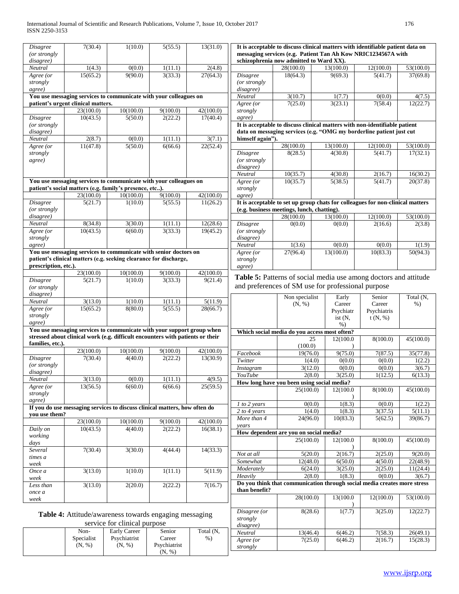| Disagree                  | 7(30.4)                            | 1(10.0)                                                                        | 5(55.5)              | 13(31.0)  |                       | It is acceptable to discuss clinical matters with identifiable patient data on                           |                   |                   |                    |
|---------------------------|------------------------------------|--------------------------------------------------------------------------------|----------------------|-----------|-----------------------|----------------------------------------------------------------------------------------------------------|-------------------|-------------------|--------------------|
| (or strongly<br>disagree) |                                    |                                                                                |                      |           |                       | messaging services (e.g. Patient Tan Ah Kow NRIC1234567A with<br>schizophrenia now admitted to Ward XX). |                   |                   |                    |
| Neutral                   | 1(4.3)                             | 0(0.0)                                                                         | 1(11.1)              | 2(4.8)    |                       | 28(100.0)                                                                                                | 13(100.0)         | 12(100.0)         | 53(100.0)          |
| Agree (or                 | 15(65.2)                           | 9(90.0)                                                                        | 3(33.3)              | 27(64.3)  | Disagree              | 18(64.3)                                                                                                 | 9(69.3)           | 5(41.7)           | 37(69.8)           |
| strongly                  |                                    |                                                                                |                      |           | (or strongly          |                                                                                                          |                   |                   |                    |
| agree)                    |                                    | You use messaging services to communicate with your colleagues on              |                      |           | disagree)             |                                                                                                          |                   |                   |                    |
|                           | patient's urgent clinical matters. |                                                                                |                      |           | Neutral               | 3(10.7)<br>7(25.0)                                                                                       | 1(7.7)<br>3(23.1) | 0(0.0)<br>7(58.4) | 4(7.5)<br>12(22.7) |
|                           | 23(100.0)                          | 10(100.0)                                                                      | 9(100.0)             | 42(100.0) | Agree (or<br>strongly |                                                                                                          |                   |                   |                    |
| <b>Disagree</b>           | 10(43.5)                           | 5(50.0)                                                                        | 2(22.2)              | 17(40.4)  | agree)                |                                                                                                          |                   |                   |                    |
| (or strongly              |                                    |                                                                                |                      |           |                       | It is acceptable to discuss clinical matters with non-identifiable patient                               |                   |                   |                    |
| disagree)                 |                                    |                                                                                |                      |           |                       | data on messaging services (e.g. "OMG my borderline patient just cut                                     |                   |                   |                    |
| Neutral                   | 2(8.7)                             | 0(0.0)                                                                         | $\overline{1(11.1)}$ | 3(7.1)    | himself again").      |                                                                                                          |                   |                   |                    |
| Agree ( $\overline{or}$   | 11(47.8)                           | 5(50.0)                                                                        | 6(66.6)              | 22(52.4)  |                       | 28(100.0)                                                                                                | 13(100.0)         | 12(100.0)         | 53(100.0)          |
| strongly                  |                                    |                                                                                |                      |           | Disagree              | 8(28.5)                                                                                                  | 4(30.8)           | 5(41.7)           | 17(32.1)           |
| agree)                    |                                    |                                                                                |                      |           | (or strongly          |                                                                                                          |                   |                   |                    |
|                           |                                    |                                                                                |                      |           | disagree)             |                                                                                                          |                   |                   |                    |
|                           |                                    |                                                                                |                      |           | Neutral               | 10(35.7)                                                                                                 | 4(30.8)           | 2(16.7)           | 16(30.2)           |
|                           |                                    | You use messaging services to communicate with your colleagues on              |                      |           | Agree (or             | 10(35.7)                                                                                                 | 5(38.5)           | 5(41.7)           | 20(37.8)           |
|                           |                                    | patient's social matters (e.g. family's presence, etc).                        |                      |           | strongly              |                                                                                                          |                   |                   |                    |
|                           | 23(100.0)                          | 10(100.0)                                                                      | 9(100.0)             | 42(100.0) | agree)                |                                                                                                          |                   |                   |                    |
| <b>Disagree</b>           | 5(21.7)                            | 1(10.0)                                                                        | 5(55.5)              | 11(26.2)  |                       | It is acceptable to set up group chats for colleagues for non-clinical matters                           |                   |                   |                    |
| (or strongly              |                                    |                                                                                |                      |           |                       | (e.g. business meetings, lunch, chatting).                                                               |                   |                   |                    |
| disagree)                 |                                    |                                                                                |                      |           |                       | 28(100.0)                                                                                                | 13(100.0)         | 12(100.0)         | 53(100.0)          |
| Neutral                   | 8(34.8)                            | 3(30.0)                                                                        | 1(11.1)              | 12(28.6)  | Disagree              | 0(0.0)                                                                                                   | 0(0.0)            | 2(16.6)           | 2(3.8)             |
| Agree (or                 | 10(43.5)                           | 6(60.0)                                                                        | 3(33.3)              | 19(45.2)  | (or strongly          |                                                                                                          |                   |                   |                    |
| strongly                  |                                    |                                                                                |                      |           | disagree)             |                                                                                                          |                   |                   |                    |
| agree)                    |                                    |                                                                                |                      |           | Neutral               | 1(3.6)                                                                                                   | 0(0.0)            | 0(0.0)            | 1(1.9)             |
|                           |                                    | You use messaging services to communicate with senior doctors on               |                      |           | Agree (or             | 27(96.4)                                                                                                 | 13(100.0)         | 10(83.3)          | 50(94.3)           |
|                           |                                    | patient's clinical matters (e.g. seeking clearance for discharge,              |                      |           | strongly              |                                                                                                          |                   |                   |                    |
| prescription, etc.).      |                                    |                                                                                |                      |           | agree)                |                                                                                                          |                   |                   |                    |
|                           | 23(100.0)                          | 10(100.0)                                                                      | 9(100.0)             | 42(100.0) |                       | Table 5: Patterns of social media use among doctors and attitude                                         |                   |                   |                    |
| <b>Disagree</b>           | 5(21.7)                            | 1(10.0)                                                                        | 3(33.3)              | 9(21.4)   |                       |                                                                                                          |                   |                   |                    |
| (or strongly              |                                    |                                                                                |                      |           |                       | and preferences of SM use for professional purpose                                                       |                   |                   |                    |
| disagree)                 |                                    |                                                                                |                      |           |                       | Non specialist                                                                                           | Early             | Senior            | Total (N,          |
| Neutral                   | 3(13.0)                            | 1(10.0)                                                                        | 1(11.1)              | 5(11.9)   |                       | (N, %)                                                                                                   | Career            | Career            | $%$ )              |
| Agree (or                 | 15(65.2)                           | 8(80.0)                                                                        | 5(55.5)              | 28(66.7)  |                       |                                                                                                          | Psychiatr         | Psychiatris       |                    |
| strongly                  |                                    |                                                                                |                      |           |                       |                                                                                                          | ist $(N,$         | t(N, %)           |                    |
| agree)                    |                                    | You use messaging services to communicate with your support group when         |                      |           |                       |                                                                                                          | $%$ )             |                   |                    |
|                           |                                    | stressed about clinical work (e.g. difficult encounters with patients or their |                      |           |                       | Which social media do you access most often?                                                             |                   |                   |                    |
| families, etc.).          |                                    |                                                                                |                      |           |                       | 25                                                                                                       | 12(100.0          | 8(100.0)          | 45(100.0)          |
|                           | 23(100.0)                          | 10(100.0)                                                                      | 9(100.0)             | 42(100.0) |                       | (100.0)                                                                                                  |                   |                   |                    |
| <b>Disagree</b>           | 7(30.4)                            | 4(40.0)                                                                        | 2(22.2)              | 13(30.9)  | Facebook              | 19(76.0)                                                                                                 | 9(75.0)           | 7(87.5)           | 35(77.8)           |
| (or strongly              |                                    |                                                                                |                      |           | Twitter               | 1(4.0)                                                                                                   | 0(0.0)            | 0(0.0)            | 1(2.2)             |
| disagree)                 |                                    |                                                                                |                      |           | <i>Instagram</i>      | 3(12.0)                                                                                                  | 0(0.0)            | 0(0.0)            | 3(6.7)             |
| Neutral                   | 3(13.0)                            | 0(0.0)                                                                         | 1(11.1)              | 4(9.5)    | YouTube               | 2(8.0)                                                                                                   | 3(25.0)           | 1(12.5)           | 6(13.3)            |
| Agree (or                 | 13(56.5)                           | 6(60.0)                                                                        | 6(66.6)              | 25(59.5)  |                       | How long have you been using social media?<br>25(100.0)                                                  |                   |                   |                    |
| strongly                  |                                    |                                                                                |                      |           |                       |                                                                                                          | 12(100.0          | 8(100.0)          | 45(100.0)          |
| agree)                    |                                    |                                                                                |                      |           | 1 to 2 years          | 0(0.0)                                                                                                   | 1(8.3)            | 0(0.0)            | 1(2.2)             |
|                           |                                    | If you do use messaging services to discuss clinical matters, how often do     |                      |           | 2 to 4 years          | 1(4.0)                                                                                                   | 1(8.3)            | 3(37.5)           | 5(11.1)            |
| you use them?             |                                    |                                                                                |                      |           | More than 4           | 24(96.0)                                                                                                 |                   | 5(62.5)           |                    |
|                           | 23(100.0)                          | 10(100.0)                                                                      | 9(100.0)             | 42(100.0) |                       |                                                                                                          | 10(83.3)          |                   | 39(86.7)           |
| Daily on                  | 10(43.5)                           | 4(40.0)                                                                        | 2(22.2)              | 16(38.1)  | years                 | How dependent are you on social media?                                                                   |                   |                   |                    |
| working                   |                                    |                                                                                |                      |           |                       | 25(100.0)                                                                                                | 12(100.0)         | 8(100.0)          | 45(100.0)          |
| days                      |                                    |                                                                                |                      |           |                       |                                                                                                          |                   |                   |                    |
| Several                   | 7(30.4)                            | 3(30.0)                                                                        | 4(44.4)              | 14(33.3)  | Not at all            | 5(20.0)                                                                                                  | 2(16.7)           | 2(25.0)           | 9(20.0)            |
| times a                   |                                    |                                                                                |                      |           | Somewhat              | 12(48.0)                                                                                                 | 6(50.0)           | 4(50.0)           | 22(48.9)           |
| week                      |                                    |                                                                                |                      |           | Moderately            | 6(24.0)                                                                                                  | 3(25.0)           | 2(25.0)           | 11(24.4)           |
| Once a                    | 3(13.0)                            | 1(10.0)                                                                        | 1(11.1)              | 5(11.9)   | Heavily               | 2(8.0)                                                                                                   | 1(8.3)            | 0(0.0)            | 3(6.7)             |
| week                      |                                    |                                                                                |                      |           |                       | Do you think that communication through social media creates more stress                                 |                   |                   |                    |
| Less than                 | 3(13.0)                            | 2(20.0)                                                                        | 2(22.2)              | 7(16.7)   | than benefit?         |                                                                                                          |                   |                   |                    |
| once a                    |                                    |                                                                                |                      |           |                       | 28(100.0)                                                                                                | 13(100.0          | 12(100.0)         | 53(100.0)          |
| week                      |                                    |                                                                                |                      |           |                       |                                                                                                          |                   |                   |                    |
|                           |                                    |                                                                                |                      |           | Disagree (or          | 8(28.6)                                                                                                  | 1(7.7)            | 3(25.0)           | 12(22.7)           |
|                           |                                    | Table 4: Attitude/awareness towards engaging messaging                         |                      |           | strongly              |                                                                                                          |                   |                   |                    |
|                           |                                    | service for clinical purpose                                                   |                      |           | disagree)             |                                                                                                          |                   |                   |                    |
|                           | Non-                               | <b>Early Career</b>                                                            | Senior               | Total (N, | Neutral               | 13(46.4)                                                                                                 | 6(46.2)           | 7(58.3)           | 26(49.1)           |
|                           | Specialist                         | Psychiatrist                                                                   | Career               | $%$ )     | Agree (or             | 7(25.0)                                                                                                  | 6(46.2)           | 2(16.7)           | 15(28.3)           |
|                           | (N, %)                             | (N, %)                                                                         | Psychiatrist         |           | strongly              |                                                                                                          |                   |                   |                    |
|                           |                                    |                                                                                | (N, %)               |           |                       |                                                                                                          |                   |                   |                    |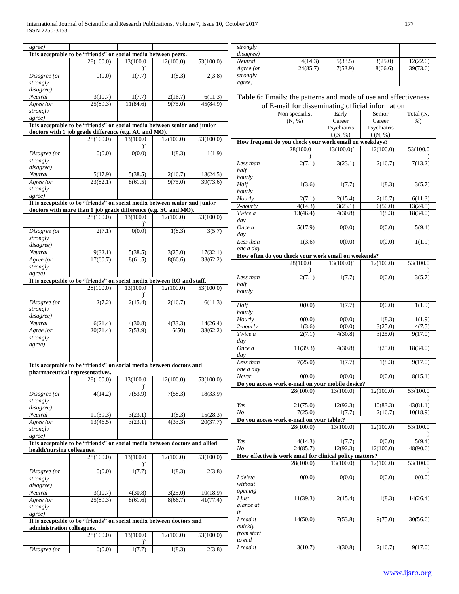| agree)                     |                                                                             |               |           |           | strongly              |                                                                    |             |             |                     |
|----------------------------|-----------------------------------------------------------------------------|---------------|-----------|-----------|-----------------------|--------------------------------------------------------------------|-------------|-------------|---------------------|
|                            | It is acceptable to be "friends" on social media between peers.             |               |           |           | disagree)             |                                                                    |             |             |                     |
|                            | 28(100.0)                                                                   | 13(100.0      | 12(100.0) | 53(100.0) | Neutral               | 4(14.3)                                                            | 5(38.5)     | 3(25.0)     | 12(22.6)            |
|                            |                                                                             |               |           |           | Agree (or             | 24(85.7)                                                           | 7(53.9)     | 8(66.6)     | 39(73.6)            |
| Disagree (or               | 0(0.0)                                                                      | 1(7.7)        | 1(8.3)    | 2(3.8)    | strongly              |                                                                    |             |             |                     |
| strongly                   |                                                                             |               |           |           | agree)                |                                                                    |             |             |                     |
| disagree)<br>Neutral       | 3(10.7)                                                                     | 1(7.7)        | 2(16.7)   | 6(11.3)   |                       |                                                                    |             |             |                     |
| Agree (or                  | 25(89.3)                                                                    | 11(84.6)      | 9(75.0)   | 45(84.9)  |                       | Table 6: Emails: the patterns and mode of use and effectiveness    |             |             |                     |
| strongly                   |                                                                             |               |           |           |                       | of E-mail for disseminating official information                   |             |             |                     |
| agree)                     |                                                                             |               |           |           |                       | Non specialist                                                     | Early       | Senior      | Total (N,           |
|                            | It is acceptable to be "friends" on social media between senior and junior  |               |           |           |                       | (N, %)                                                             | Career      | Career      | $%$ )               |
|                            | doctors with 1 job grade difference (e.g. AC and MO).                       |               |           |           |                       |                                                                    | Psychiatris | Psychiatris |                     |
|                            | 28(100.0)                                                                   | 13(100.0      | 12(100.0) | 53(100.0) |                       |                                                                    | t(N, %)     | t(N, %)     |                     |
|                            |                                                                             | $\mathcal{L}$ |           |           |                       | How frequent do you check your work email on weekdays?<br>28(100.0 | 13(100.0)   | 12(100.0)   | 53(100.0)           |
| Disagree (or               | 0(0.0)                                                                      | 0(0.0)        | 1(8.3)    | 1(1.9)    |                       |                                                                    |             |             |                     |
| strongly                   |                                                                             |               |           |           | Less than             | 2(7.1)                                                             | 3(23.1)     | 2(16.7)     | 7(13.2)             |
| disagree)                  |                                                                             |               |           |           | half                  |                                                                    |             |             |                     |
| Neutral                    | 5(17.9)                                                                     | 5(38.5)       | 2(16.7)   | 13(24.5)  | hourly                |                                                                    |             |             |                     |
| $Agree$ (or                | 23(82.1)                                                                    | 8(61.5)       | 9(75.0)   | 39(73.6)  | Half                  | 1(3.6)                                                             | 1(7.7)      | 1(8.3)      | 3(5.7)              |
| strongly                   |                                                                             |               |           |           | hourly                |                                                                    |             |             |                     |
| agree)                     |                                                                             |               |           |           | Hourly                | 2(7.1)                                                             | 2(15.4)     | 2(16.7)     | 6(11.3)             |
|                            | It is acceptable to be "friends" on social media between senior and junior  |               |           |           | 2-hourly              | 4(14.3)                                                            | 3(23.1)     | 6(50.0)     | 13(24.5)            |
|                            | doctors with more than 1 job grade difference (e.g. SC and MO).             |               |           |           | Twice a               | 13(46.4)                                                           | 4(30.8)     | 1(8.3)      | 18(34.0)            |
|                            | 28(100.0)                                                                   | 13(100.0      | 12(100.0) | 53(100.0) | day                   |                                                                    |             |             |                     |
|                            |                                                                             |               |           |           | Once a                | 5(17.9)                                                            | 0(0.0)      | 0(0.0)      | $\overline{5(9.4)}$ |
| Disagree (or               | 2(7.1)                                                                      | 0(0.0)        | 1(8.3)    | 3(5.7)    | day                   |                                                                    |             |             |                     |
| strongly                   |                                                                             |               |           |           | Less than             | 1(3.6)                                                             | 0(0.0)      | 0(0.0)      | 1(1.9)              |
| disagree)                  |                                                                             |               |           |           | one a day             |                                                                    |             |             |                     |
| Neutral                    | 9(32.1)                                                                     | 5(38.5)       | 3(25.0)   | 17(32.1)  |                       | How often do you check your work email on weekends?                |             |             |                     |
| Agree (or                  | 17(60.7)                                                                    | 8(61.5)       | 8(66.6)   | 33(62.2)  |                       | 28(100.0                                                           | 13(100.0)   | 12(100.0)   | 53(100.0            |
| strongly                   |                                                                             |               |           |           |                       |                                                                    |             |             |                     |
| agree)                     |                                                                             |               |           |           | Less than             | 2(7.1)                                                             | 1(7.7)      | 0(0.0)      | 3(5.7)              |
|                            | It is acceptable to be "friends" on social media between RO and staff.      | 13(100.0      |           |           | half                  |                                                                    |             |             |                     |
|                            | 28(100.0)                                                                   |               | 12(100.0) | 53(100.0) | hourly                |                                                                    |             |             |                     |
| Disagree (or               | 2(7.2)                                                                      | 2(15.4)       | 2(16.7)   | 6(11.3)   | Half                  | 0(0.0)                                                             | 1(7.7)      | 0(0.0)      | 1(1.9)              |
| strongly                   |                                                                             |               |           |           | hourly                |                                                                    |             |             |                     |
| disagree)                  |                                                                             |               |           |           | Hourly                | 0(0.0)                                                             | 0(0.0)      | 1(8.3)      | 1(1.9)              |
| Neutral                    | 6(21.4)                                                                     | 4(30.8)       | 4(33.3)   | 14(26.4)  | $2$ -hourly           | 1(3.6)                                                             | 0(0.0)      | 3(25.0)     | 4(7.5)              |
| Agree (or                  | 20(71.4)                                                                    | 7(53.9)       | 6(50)     | 33(62.2)  | Twice a               | 2(7.1)                                                             | 4(30.8)     | 3(25.0)     | 9(17.0)             |
| strongly                   |                                                                             |               |           |           | day                   |                                                                    |             |             |                     |
| agree)                     |                                                                             |               |           |           | Once a                | 11(39.3)                                                           | 4(30.8)     | 3(25.0)     | 18(34.0)            |
|                            |                                                                             |               |           |           | day                   |                                                                    |             |             |                     |
|                            | It is acceptable to be "friends" on social media between doctors and        |               |           |           | Less than             | 7(25.0)                                                            | 1(7.7)      | 1(8.3)      | 9(17.0)             |
|                            | pharmaceutical representatives.                                             |               |           |           | one a day             |                                                                    |             |             |                     |
|                            | 28(100.0)                                                                   | 13(100.0      | 12(100.0) | 53(100.0) | Never                 | 0(0.0)                                                             | 0(0.0)      | 0(0.0)      | 8(15.1)             |
|                            |                                                                             |               |           |           |                       | Do you access work e-mail on your mobile device?                   |             |             |                     |
| Disagree (or               | 4(14.2)                                                                     | 7(53.9)       | 7(58.3)   | 18(33.9)  |                       | 28(100.0)                                                          | 13(100.0)   | 12(100.0)   | 53(100.0            |
| strongly                   |                                                                             |               |           |           |                       |                                                                    |             |             |                     |
| disagree)                  |                                                                             |               |           |           | Yes                   | 21(75.0)                                                           | 12(92.3)    | 10(83.3)    | 43(81.1)            |
| Neutral                    | 11(39.3)                                                                    | 3(23.1)       | 1(8.3)    | 15(28.3)  | $N_{O}$               | 7(25.0)                                                            | 1(7.7)      | 2(16.7)     | 10(18.9)            |
| Agree (or                  | 13(46.5)                                                                    | 3(23.1)       | 4(33.3)   | 20(37.7)  |                       | Do you access work e-mail on your tablet?                          |             |             |                     |
| strongly                   |                                                                             |               |           |           |                       | 28(100.0)                                                          | 13(100.0)   | 12(100.0)   | 53(100.0            |
| agree)                     |                                                                             |               |           |           |                       |                                                                    |             |             |                     |
|                            | It is acceptable to be "friends" on social media between doctors and allied |               |           |           | Yes                   | 4(14.3)                                                            | 1(7.7)      | 0(0.0)      | 5(9.4)              |
| health/nursing colleagues. |                                                                             |               |           |           | $N_{O}$               | 24(85.7)                                                           | 12(92.3)    | 12(100.0)   | 48(90.6)            |
|                            | 28(100.0)                                                                   | 13(100.0      | 12(100.0) | 53(100.0) |                       | How effective is work email for clinical policy matters?           |             |             |                     |
|                            |                                                                             | Y             |           |           |                       | 28(100.0)                                                          | 13(100.0)   | 12(100.0)   | 53(100.0            |
| Disagree (or               | 0(0.0)                                                                      | 1(7.7)        | 1(8.3)    | 2(3.8)    |                       |                                                                    |             |             |                     |
| strongly                   |                                                                             |               |           |           | I delete              | 0(0.0)                                                             | 0(0.0)      | 0(0.0)      | 0(0.0)              |
| disagree)                  |                                                                             |               |           |           | without               |                                                                    |             |             |                     |
| Neutral                    | 3(10.7)                                                                     | 4(30.8)       | 3(25.0)   | 10(18.9)  | opening               |                                                                    |             |             |                     |
| Agree (or                  | 25(89.3)                                                                    | 8(61.6)       | 8(66.7)   | 41(77.4)  | $I$ just              | 11(39.3)                                                           | 2(15.4)     | 1(8.3)      | 14(26.4)            |
| strongly                   |                                                                             |               |           |           | glance at             |                                                                    |             |             |                     |
| agree)                     |                                                                             |               |           |           | it                    |                                                                    |             |             |                     |
|                            | It is acceptable to be "friends" on social media between doctors and        |               |           |           | I read it             | 14(50.0)                                                           | 7(53.8)     | 9(75.0)     | 30(56.6)            |
| administration colleagues. |                                                                             |               |           |           | quickly<br>from start |                                                                    |             |             |                     |
|                            | 28(100.0)                                                                   | 13(100.0      | 12(100.0) | 53(100.0) | to end                |                                                                    |             |             |                     |
|                            |                                                                             |               |           |           | I read it             | 3(10.7)                                                            | 4(30.8)     | 2(16.7)     | 9(17.0)             |
| Disagree (or               | 0(0.0)                                                                      | 1(7.7)        | 1(8.3)    | 2(3.8)    |                       |                                                                    |             |             |                     |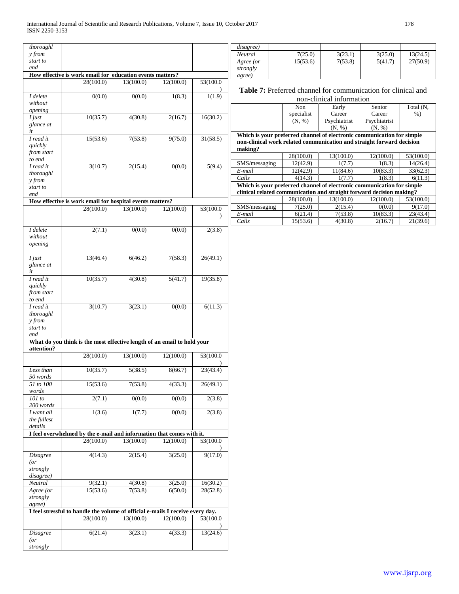| thoroughl              |                                                                                |           |           |           | disagree)     |            |                          |                                                                        |           |
|------------------------|--------------------------------------------------------------------------------|-----------|-----------|-----------|---------------|------------|--------------------------|------------------------------------------------------------------------|-----------|
| y from                 |                                                                                |           |           |           | Neutral       | 7(25.0)    | 3(23.1)                  | 3(25.0)                                                                | 13(24.5)  |
| start to               |                                                                                |           |           |           | Agree (or     | 15(53.6)   | 7(53.8)                  | 5(41.7)                                                                | 27(50.9)  |
| end                    |                                                                                |           |           |           | strongly      |            |                          |                                                                        |           |
|                        | How effective is work email for education events matters?                      |           |           |           | agree)        |            |                          |                                                                        |           |
|                        | 28(100.0)                                                                      | 13(100.0) | 12(100.0) | 53(100.0  |               |            |                          | Table 7: Preferred channel for communication for clinical and          |           |
| $I$ delete             | 0(0.0)                                                                         | 0(0.0)    | 1(8.3)    | 1(1.9)    |               |            | non-clinical information |                                                                        |           |
| without                |                                                                                |           |           |           |               | Non        | Early                    | Senior                                                                 | Total (N, |
| opening                |                                                                                |           |           |           |               | specialist | Career                   | Career                                                                 | $%$ )     |
| $I$ just               | 10(35.7)                                                                       | 4(30.8)   | 2(16.7)   | 16(30.2)  |               | (N, %)     | Psychiatrist             | Psychiatrist                                                           |           |
| glance at<br>it        |                                                                                |           |           |           |               |            | (N, %)                   | (N, %)                                                                 |           |
| I read it              | 15(53.6)                                                                       | 7(53.8)   | 9(75.0)   | 31(58.5)  |               |            |                          | Which is your preferred channel of electronic communication for simple |           |
| quickly                |                                                                                |           |           |           | making?       |            |                          | non-clinical work related communication and straight forward decision  |           |
| from start<br>to end   |                                                                                |           |           |           |               | 28(100.0)  | 13(100.0)                | 12(100.0)                                                              | 53(100.0) |
| I read it              | 3(10.7)                                                                        | 2(15.4)   | 0(0.0)    | 5(9.4)    | SMS/messaging | 12(42.9)   | 1(7.7)                   | 1(8.3)                                                                 | 14(26.4)  |
| thoroughl              |                                                                                |           |           |           | E-mail        | 12(42.9)   | 11(84.6)                 | 10(83.3)                                                               | 33(62.3)  |
| y from                 |                                                                                |           |           |           | Calls         | 4(14.3)    | 1(7.7)                   | 1(8.3)                                                                 | 6(11.3)   |
| start to               |                                                                                |           |           |           |               |            |                          | Which is your preferred channel of electronic communication for simple |           |
| end                    |                                                                                |           |           |           |               |            |                          | clinical related communication and straight forward decision making?   |           |
|                        | How effective is work email for hospital events matters?                       |           |           |           |               | 28(100.0)  | 13(100.0)                | 12(100.0)                                                              | 53(100.0) |
|                        | 28(100.0)                                                                      | 13(100.0) | 12(100.0) | 53(100.0) | SMS/messaging | 7(25.0)    | 2(15.4)                  | 0(0.0)                                                                 | 9(17.0)   |
|                        |                                                                                |           |           |           | E-mail        | 6(21.4)    | 7(53.8)                  | 10(83.3)                                                               | 23(43.4)  |
|                        |                                                                                |           |           |           | Calls         | 15(53.6)   | 4(30.8)                  | 2(16.7)                                                                | 21(39.6)  |
| I delete               | 2(7.1)                                                                         | 0(0.0)    | 0(0.0)    | 2(3.8)    |               |            |                          |                                                                        |           |
| without                |                                                                                |           |           |           |               |            |                          |                                                                        |           |
| opening                |                                                                                |           |           |           |               |            |                          |                                                                        |           |
|                        |                                                                                |           |           |           |               |            |                          |                                                                        |           |
| $I$ just               | 13(46.4)                                                                       | 6(46.2)   | 7(58.3)   | 26(49.1)  |               |            |                          |                                                                        |           |
| glance at<br>it        |                                                                                |           |           |           |               |            |                          |                                                                        |           |
| I read it              | 10(35.7)                                                                       | 4(30.8)   | 5(41.7)   | 19(35.8)  |               |            |                          |                                                                        |           |
| quickly                |                                                                                |           |           |           |               |            |                          |                                                                        |           |
| from start             |                                                                                |           |           |           |               |            |                          |                                                                        |           |
| to end                 |                                                                                |           |           |           |               |            |                          |                                                                        |           |
| I read it<br>thoroughl | 3(10.7)                                                                        | 3(23.1)   | 0(0.0)    | 6(11.3)   |               |            |                          |                                                                        |           |
| y from                 |                                                                                |           |           |           |               |            |                          |                                                                        |           |
| start to               |                                                                                |           |           |           |               |            |                          |                                                                        |           |
| end                    |                                                                                |           |           |           |               |            |                          |                                                                        |           |
|                        | What do you think is the most effective length of an email to hold your        |           |           |           |               |            |                          |                                                                        |           |
| attention?             |                                                                                |           |           |           |               |            |                          |                                                                        |           |
|                        | 28(100.0)                                                                      | 13(100.0) | 12(100.0) | 53(100.0) |               |            |                          |                                                                        |           |
| Less than<br>50 words  | 10(35.7)                                                                       | 5(38.5)   | 8(66.7)   | 23(43.4)  |               |            |                          |                                                                        |           |
| 51 to 100<br>words     | 15(53.6)                                                                       | 7(53.8)   | 4(33.3)   | 26(49.1)  |               |            |                          |                                                                        |           |
| 101 to                 | 2(7.1)                                                                         | 0(0.0)    | 0(0.0)    | 2(3.8)    |               |            |                          |                                                                        |           |
| 200 words              |                                                                                |           |           |           |               |            |                          |                                                                        |           |
| I want all             | 1(3.6)                                                                         | 1(7.7)    | 0(0.0)    | 2(3.8)    |               |            |                          |                                                                        |           |
| the fullest            |                                                                                |           |           |           |               |            |                          |                                                                        |           |
| details                |                                                                                |           |           |           |               |            |                          |                                                                        |           |
|                        | I feel overwhelmed by the e-mail and information that comes with it.           |           |           |           |               |            |                          |                                                                        |           |
|                        | 28(100.0)                                                                      | 13(100.0) | 12(100.0) | 53(100.0  |               |            |                          |                                                                        |           |
|                        | 4(14.3)                                                                        |           |           |           |               |            |                          |                                                                        |           |
| <b>Disagree</b><br>(   |                                                                                | 2(15.4)   | 3(25.0)   | 9(17.0)   |               |            |                          |                                                                        |           |
| strongly               |                                                                                |           |           |           |               |            |                          |                                                                        |           |
| disagree)              |                                                                                |           |           |           |               |            |                          |                                                                        |           |
| Neutral                | 9(32.1)                                                                        | 4(30.8)   | 3(25.0)   | 16(30.2)  |               |            |                          |                                                                        |           |
| Agree (or              | 15(53.6)                                                                       | 7(53.8)   | 6(50.0)   | 28(52.8)  |               |            |                          |                                                                        |           |
| strongly               |                                                                                |           |           |           |               |            |                          |                                                                        |           |
| agree)                 |                                                                                |           |           |           |               |            |                          |                                                                        |           |
|                        | I feel stressful to handle the volume of official e-mails I receive every day. |           |           |           |               |            |                          |                                                                        |           |
|                        | 28(100.0)                                                                      | 13(100.0) | 12(100.0) | 53(100.0  |               |            |                          |                                                                        |           |
| Disagree               | 6(21.4)                                                                        | 3(23.1)   | 4(33.3)   | 13(24.6)  |               |            |                          |                                                                        |           |
| (                      |                                                                                |           |           |           |               |            |                          |                                                                        |           |
| strongly               |                                                                                |           |           |           |               |            |                          |                                                                        |           |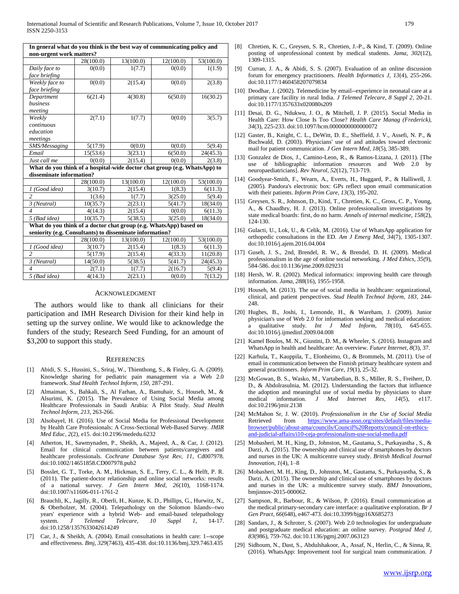| In general what do you think is the best way of communicating policy and<br>non-urgent work matters? |           |           |           |           |  |  |  |  |  |  |
|------------------------------------------------------------------------------------------------------|-----------|-----------|-----------|-----------|--|--|--|--|--|--|
|                                                                                                      | 28(100.0) | 13(100.0) | 12(100.0) | 53(100.0) |  |  |  |  |  |  |
| Daily face to                                                                                        | 0(0.0)    | 1(7.7)    | 0(0.0)    | 1(1.9)    |  |  |  |  |  |  |
| face briefing                                                                                        |           |           |           |           |  |  |  |  |  |  |
| Weekly face to                                                                                       | 0(0.0)    | 2(15.4)   | 0(0.0)    | 2(3.8)    |  |  |  |  |  |  |
| face briefing                                                                                        |           |           |           |           |  |  |  |  |  |  |
| Department                                                                                           | 6(21.4)   | 4(30.8)   | 6(50.0)   | 16(30.2)  |  |  |  |  |  |  |
| <b>business</b>                                                                                      |           |           |           |           |  |  |  |  |  |  |
| meeting                                                                                              |           |           |           |           |  |  |  |  |  |  |
| Weekly                                                                                               | 2(7.1)    | 1(7.7)    | 0(0.0)    | 3(5.7)    |  |  |  |  |  |  |
| continuous                                                                                           |           |           |           |           |  |  |  |  |  |  |
| education                                                                                            |           |           |           |           |  |  |  |  |  |  |
| meetings                                                                                             |           |           |           |           |  |  |  |  |  |  |
| SMS/Messaging                                                                                        | 5(17.9)   | 0(0.0)    | 0(0.0)    | 5(9.4)    |  |  |  |  |  |  |
| Email                                                                                                | 15(53.6)  | 3(23.1)   | 6(50.0)   | 24(45.3)  |  |  |  |  |  |  |
| Just call me                                                                                         | 0(0.0)    | 2(15.4)   | 0(0.0)    | 2(3.8)    |  |  |  |  |  |  |
| What do you think of a hospital-wide doctor chat group (e.g. WhatsApp) to                            |           |           |           |           |  |  |  |  |  |  |
| disseminate information?                                                                             |           |           |           |           |  |  |  |  |  |  |
|                                                                                                      | 28(100.0) | 13(100.0) | 12(100.0) | 53(100.0) |  |  |  |  |  |  |
| 1 (Good idea)                                                                                        | 3(10.7)   | 2(15.4)   | 1(8.3)    | 6(11.3)   |  |  |  |  |  |  |
| $\overline{2}$                                                                                       | 1(3.6)    | 1(7.7)    | 3(25.0)   | 5(9.4)    |  |  |  |  |  |  |
| 3 (Neutral)                                                                                          | 10(35.7)  | 2(23.1)   | 5(41.7)   | 18(34.0)  |  |  |  |  |  |  |
| $\overline{A}$                                                                                       | 4(14.3)   | 2(15.4)   | 0(0.0)    | 6(11.3)   |  |  |  |  |  |  |
| 5 (Bad idea)                                                                                         | 10(35.7)  | 5(38.5)   | 3(25.0)   | 18(34.0)  |  |  |  |  |  |  |
| What do you think of a doctor chat group (e.g. WhatsApp) based on                                    |           |           |           |           |  |  |  |  |  |  |
| seniority (e.g. Consultants) to disseminate information?                                             |           |           |           |           |  |  |  |  |  |  |
|                                                                                                      | 28(100.0) | 13(100.0) | 12(100.0) | 53(100.0) |  |  |  |  |  |  |
| 1 (Good idea)                                                                                        | 3(10.7)   | 2(15.4)   | 1(8.3)    | 6(11.3)   |  |  |  |  |  |  |
| $\overline{\mathcal{L}}$                                                                             | 5(17.9)   | 2(15.4)   | 4(33.3)   | 11(20.8)  |  |  |  |  |  |  |
| 3 (Neutral)                                                                                          | 14(50.0)  | 5(38.5)   | 5(41.7)   | 24(45.3)  |  |  |  |  |  |  |
| $\boldsymbol{\varDelta}$                                                                             | 2(7.1)    | 1(7.7)    | 2(16.7)   | 5(9.4)    |  |  |  |  |  |  |
| 5 (Bad idea)                                                                                         | 4(14.3)   | 2(23.1)   | 0(0.0)    | 7(13.2)   |  |  |  |  |  |  |

#### ACKNOWLEDGMENT

The authors would like to thank all clinicians for their participation and IMH Research Division for their kind help in setting up the survey online. We would like to acknowledge the funders of the study; Research Seed Funding, for an amount of \$3,200 to support this study.

#### **REFERENCES**

- [1] Abidi, S. S., Hussini, S., Sriraj, W., Thienthong, S., & Finley, G. A. (2009). Knowledge sharing for pediatric pain management via a Web 2.0 framework. *Stud Health Technol Inform, 150*, 287-291.
- [2] Almaiman, S., Bahkali, S., Al Farhan, A., Bamuhair, S., Househ, M., & Alsurimi, K. (2015). The Prevalence of Using Social Media among Healthcare Professionals in Saudi Arabia: A Pilot Study. *Stud Health Technol Inform, 213*, 263-266.
- [3] Alsobayel, H. (2016). Use of Social Media for Professional Development by Health Care Professionals: A Cross-Sectional Web-Based Survey. *JMIR Med Educ, 2*(2), e15. doi:10.2196/mededu.6232
- [4] Atherton, H., Sawmynaden, P., Sheikh, A., Majeed, A., & Car, J. (2012). Email for clinical communication between patients/caregivers and healthcare professionals. *Cochrane Database Syst Rev, 11*, Cd007978. doi:10.1002/14651858.CD007978.pub2
- [5] Bosslet, G. T., Torke, A. M., Hickman, S. E., Terry, C. L., & Helft, P. R. (2011). The patient-doctor relationship and online social networks: results of a national survey. *J Gen Intern Med, 26*(10), 1168-1174. doi:10.1007/s11606-011-1761-2
- [6] Brauchli, K., Jagilly, R., Oberli, H., Kunze, K. D., Phillips, G., Hurwitz, N., & Oberholzer, M. (2004). Telepathology on the Solomon Islands--two years' experience with a hybrid Web- and email-based telepathology system. *J Telemed Telecare, 10 Suppl 1*, 14-17. doi:10.1258/1357633042614249
- Car, J., & Sheikh, A. (2004). Email consultations in health care: 1--scope and effectiveness. *Bmj, 329*(7463), 435-438. doi:10.1136/bmj.329.7463.435
- [8] Chretien, K. C., Greysen, S. R., Chretien, J.-P., & Kind, T. (2009). Online posting of unprofessional content by medical students. *Jama, 302*(12), 1309-1315.
- [9] Curran, J. A., & Abidi, S. S. (2007). Evaluation of an online discussion forum for emergency practitioners. *Health Informatics J, 13*(4), 255-266. doi:10.1177/1460458207079834
- [10] Deodhar, J. (2002). Telemedicine by email--experience in neonatal care at a primary care facility in rural India. *J Telemed Telecare, 8 Suppl 2*, 20-21. doi:10.1177/1357633x020080s209
- [11] Desai, D. G., Ndukwu, J. O., & Mitchell, J. P. (2015). Social Media in Health Care: How Close Is Too Close? *Health Care Manag (Frederick), 34*(3), 225-233. doi:10.1097/hcm.0000000000000072
- [12] Gaster, B., Knight, C. L., DeWitt, D. E., Sheffield, J. V., Assefi, N. P., & Buchwald, D. (2003). Physicians' use of and attitudes toward electronic mail for patient communication. *J Gen Intern Med, 18*(5), 385-389.
- [13] Gonzalez de Dios, J., Camino-Leon, R., & Ramos-Lizana, J. (2011). [The use of bibliographic information resources and Web 2.0 by neuropaediatricians]. *Rev Neurol, 52*(12), 713-719.
- [14] Goodyear-Smith, F., Wearn, A., Everts, H., Huggard, P., & Halliwell, J. (2005). Pandora's electronic box: GPs reflect upon email communication with their patients. *Inform Prim Care, 13*(3), 195-202.
- [15] Greysen, S. R., Johnson, D., Kind, T., Chretien, K. C., Gross, C. P., Young, A., & Chaudhry, H. J. (2013). Online professionalism investigations by state medical boards: first, do no harm. *Annals of internal medicine, 158*(2), 124-130.
- [16] Gulacti, U., Lok, U., & Celik, M. (2016). Use of WhatsApp application for orthopedic consultations in the ED. *Am J Emerg Med, 34*(7), 1305-1307. doi:10.1016/j.ajem.2016.04.004
- [17] Guseh, J. S., 2nd, Brendel, R. W., & Brendel, D. H. (2009). Medical professionalism in the age of online social networking. *J Med Ethics, 35*(9), 584-586. doi:10.1136/jme.2009.029231
- [18] Hersh, W. R. (2002). Medical informatics: improving health care through information. *Jama, 288*(16), 1955-1958.
- [19] Househ, M. (2013). The use of social media in healthcare: organizational, clinical, and patient perspectives. *Stud Health Technol Inform, 183*, 244- 248.
- [20] Hughes, B., Joshi, I., Lemonde, H., & Wareham, J. (2009). Junior physician's use of Web 2.0 for information seeking and medical education: qualitative study. *Int J Med Inform*, 78(10), 645-655. doi:10.1016/j.ijmedinf.2009.04.008
- [21] Kamel Boulos, M. N., Giustini, D. M., & Wheeler, S. (2016). Instagram and WhatsApp in health and healthcare: An overview. *Future Internet, 8*(3), 37.
- [22] Karhula, T., Kauppila, T., Elonheimo, O., & Brommels, M. (2011). Use of email in communication between the Finnish primary healthcare system and general practitioners. *Inform Prim Care, 19*(1), 25-32.
- [23] McGowan, B. S., Wasko, M., Vartabedian, B. S., Miller, R. S., Freiherr, D. D., & Abdolrasulnia, M. (2012). Understanding the factors that influence the adoption and meaningful use of social media by physicians to share medical information. *J Med Internet Res, 14*(5), e117. doi:10.2196/jmir.2138
- [24] McMahon Sr, J. W. (2010). *Professionalism in the Use of Social Media*  Retrieved from [https://www.ama-assn.org/sites/default/files/media](https://www.ama-assn.org/sites/default/files/media-browser/public/about-ama/councils/Council%20Reports/council-on-ethics-and-judicial-affairs/i10-ceja-professionalism-use-social-media.pdf)[browser/public/about-ama/councils/Council%20Reports/council-on-ethics](https://www.ama-assn.org/sites/default/files/media-browser/public/about-ama/councils/Council%20Reports/council-on-ethics-and-judicial-affairs/i10-ceja-professionalism-use-social-media.pdf)[and-judicial-affairs/i10-ceja-professionalism-use-social-media.pdf](https://www.ama-assn.org/sites/default/files/media-browser/public/about-ama/councils/Council%20Reports/council-on-ethics-and-judicial-affairs/i10-ceja-professionalism-use-social-media.pdf)
- [25] Mobasheri, M. H., King, D., Johnston, M., Gautama, S., Purkayastha , S., & Darzi, A. (2015). The ownership and clinical use of smartphones by doctors and nurses in the UK: A multicentre survey study. *British Medical Journal Innovation, 1*(4), 1–8
- [26] Mobasheri, M. H., King, D., Johnston, M., Gautama, S., Purkayastha, S., & Darzi, A. (2015). The ownership and clinical use of smartphones by doctors and nurses in the UK: a multicentre survey study. *BMJ Innovations*, bmjinnov-2015-000062.
- [27] Sampson, R., Barbour, R., & Wilson, P. (2016). Email communication at the medical primary-secondary care interface: a qualitative exploration. *Br J Gen Pract, 66*(648), e467-473. doi:10.3399/bjgp16X685273
- [28] Sandars, J., & Schroter, S. (2007). Web 2.0 technologies for undergraduate and postgraduate medical education: an online survey. *Postgrad Med J, 83*(986), 759-762. doi:10.1136/pgmj.2007.063123
- [29] Sidhoum, N., Dast, S., Abdulshakoor, A., Assaf, N., Herlin, C., & Sinna, R. (2016). WhatsApp: Improvement tool for surgical team communication. *J*